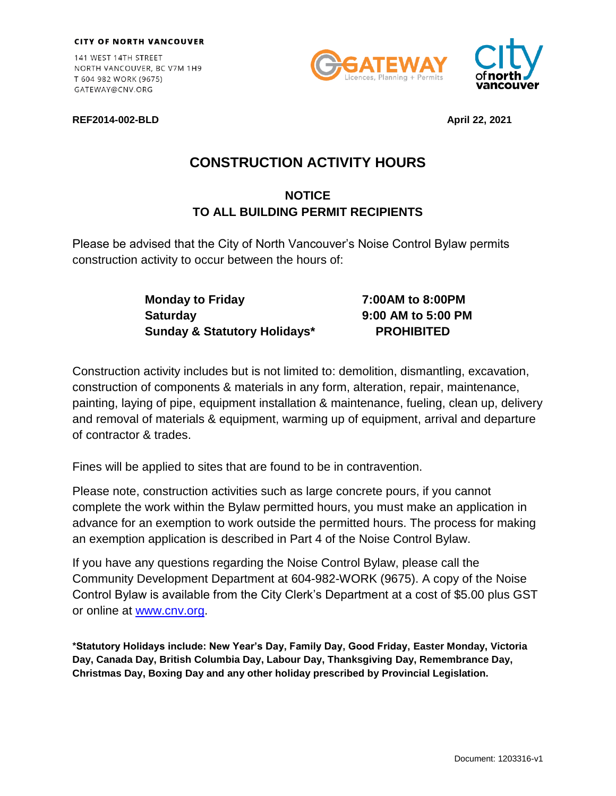141 WEST 14TH STREET NORTH VANCOUVER, BC V7M 1H9 T 604 982 WORK (9675) GATEWAY@CNV.ORG







## **CONSTRUCTION ACTIVITY HOURS**

## **NOTICE TO ALL BUILDING PERMIT RECIPIENTS**

Please be advised that the City of North Vancouver's Noise Control Bylaw permits construction activity to occur between the hours of:

> **Monday to Friday 7:00AM to 8:00PM Saturday 9:00 AM to 5:00 PM Sunday & Statutory Holidays\* PROHIBITED**

Construction activity includes but is not limited to: demolition, dismantling, excavation, construction of components & materials in any form, alteration, repair, maintenance, painting, laying of pipe, equipment installation & maintenance, fueling, clean up, delivery and removal of materials & equipment, warming up of equipment, arrival and departure of contractor & trades.

Fines will be applied to sites that are found to be in contravention.

Please note, construction activities such as large concrete pours, if you cannot complete the work within the Bylaw permitted hours, you must make an application in advance for an exemption to work outside the permitted hours. The process for making an exemption application is described in Part 4 of the Noise Control Bylaw.

If you have any questions regarding the Noise Control Bylaw, please call the Community Development Department at 604-982-WORK (9675). A copy of the Noise Control Bylaw is available from the City Clerk's Department at a cost of \$5.00 plus GST or online at [www.cnv.org.](http://www.cnv.org/)

**\*Statutory Holidays include: New Year's Day, Family Day, Good Friday, Easter Monday, Victoria Day, Canada Day, British Columbia Day, Labour Day, Thanksgiving Day, Remembrance Day, Christmas Day, Boxing Day and any other holiday prescribed by Provincial Legislation.**